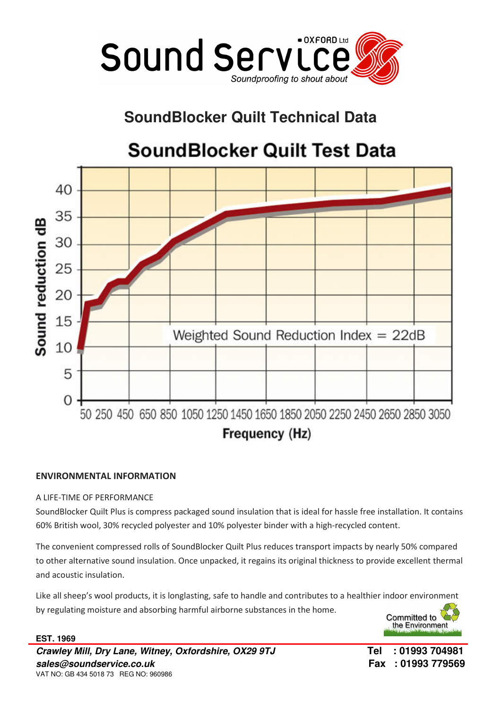

# **SoundBlocker Quilt Technical Data**

# **SoundBlocker Quilt Test Data**



## ENVIRONMENTAL INFORMATION

## A LIFE-TIME OF PERFORMANCE

SoundBlocker Quilt Plus is compress packaged sound insulation that is ideal for hassle free installation. It contains 60% British wool, 30% recycled polyester and 10% polyester binder with a high-recycled content.

The convenient compressed rolls of SoundBlocker Quilt Plus reduces transport impacts by nearly 50% compared to other alternative sound insulation. Once unpacked, it regains its original thickness to provide excellent thermal and acoustic insulation.

Like all sheep's wool products, it is longlasting, safe to handle and contributes to a healthier indoor environment by regulating moisture and absorbing harmful airborne substances in the home.



**EST. 1969 Crawley Mill, Dry Lane, Witney, Oxfordshire, OX29 9TJ Tel : 01993 704981 sales@soundservice.co.uk Fax : 01993 779569**  VAT NO: GB 434 5018 73 REG NO: 960986